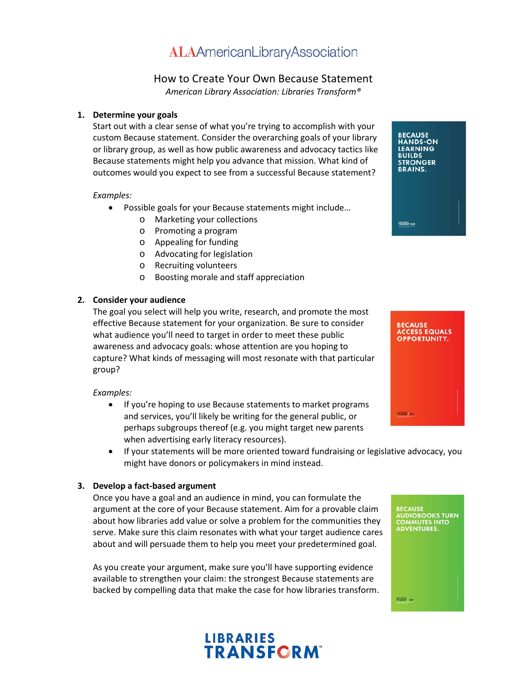## **ALAAmericanLibraryAssociation**

### How to Create Your Own Because Statement

*American Library Association: Libraries Transform®*

### **1. Determine your goals**

Start out with a clear sense of what you're trying to accomplish with your custom Because statement. Consider the overarching goals of your library or library group, as well as how public awareness and advocacy tactics like Because statements might help you advance that mission. What kind of outcomes would you expect to see from a successful Because statement?

### *Examples:*

- Possible goals for your Because statements might include…
	- o Marketing your collections
	- o Promoting a program
	- o Appealing for funding
	- o Advocating for legislation
	- o Recruiting volunteers
	- o Boosting morale and staff appreciation

### **2. Consider your audience**

The goal you select will help you write, research, and promote the most effective Because statement for your organization. Be sure to consider what audience you'll need to target in order to meet these public awareness and advocacy goals: whose attention are you hoping to capture? What kinds of messaging will most resonate with that particular group?

### *Examples:*

- If you're hoping to use Because statements to market programs and services, you'll likely be writing for the general public, or perhaps subgroups thereof (e.g. you might target new parents when advertising early literacy resources).
- If your statements will be more oriented toward fundraising or legislative advocacy, you might have donors or policymakers in mind instead.

### **3. Develop a fact-based argument**

Once you have a goal and an audience in mind, you can formulate the argument at the core of your Because statement. Aim for a provable claim about how libraries add value or solve a problem for the communities they serve. Make sure this claim resonates with what your target audience cares about and will persuade them to help you meet your predetermined goal.

As you create your argument, make sure you'll have supporting evidence available to strengthen your claim: the strongest Because statements are backed by compelling data that make the case for how libraries transform.

# LIBRARIES<br>**TRANSFORM**







**YEANSFORM**